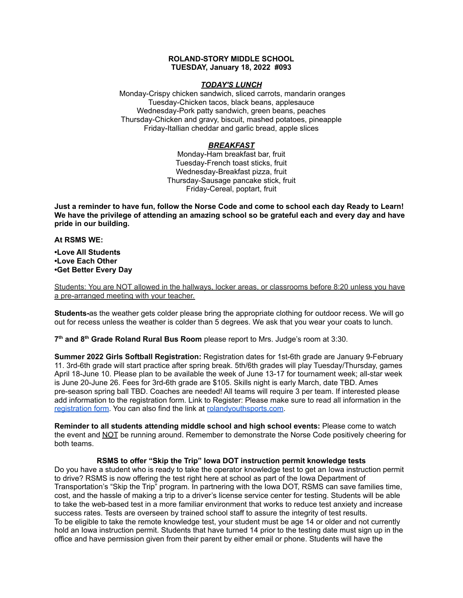## **ROLAND-STORY MIDDLE SCHOOL TUESDAY, January 18, 2022 #093**

#### *TODAY'S LUNCH*

Monday-Crispy chicken sandwich, sliced carrots, mandarin oranges Tuesday-Chicken tacos, black beans, applesauce Wednesday-Pork patty sandwich, green beans, peaches Thursday-Chicken and gravy, biscuit, mashed potatoes, pineapple Friday-Itallian cheddar and garlic bread, apple slices

# *BREAKFAST*

Monday-Ham breakfast bar, fruit Tuesday-French toast sticks, fruit Wednesday-Breakfast pizza, fruit Thursday-Sausage pancake stick, fruit Friday-Cereal, poptart, fruit

Just a reminder to have fun, follow the Norse Code and come to school each day Ready to Learn! **We have the privilege of attending an amazing school so be grateful each and every day and have pride in our building.**

#### **At RSMS WE:**

**•Love All Students •Love Each Other •Get Better Every Day**

Students: You are NOT allowed in the hallways, locker areas, or classrooms before 8:20 unless you have a pre-arranged meeting with your teacher.

**Students-**as the weather gets colder please bring the appropriate clothing for outdoor recess. We will go out for recess unless the weather is colder than 5 degrees. We ask that you wear your coats to lunch.

**7 th and 8 th Grade Roland Rural Bus Room** please report to Mrs. Judge's room at 3:30.

**Summer 2022 Girls Softball Registration:** Registration dates for 1st-6th grade are January 9-February 11. 3rd-6th grade will start practice after spring break. 5th/6th grades will play Tuesday/Thursday, games April 18-June 10. Please plan to be available the week of June 13-17 for tournament week; all-star week is June 20-June 26. Fees for 3rd-6th grade are \$105. Skills night is early March, date TBD. Ames pre-season spring ball TBD. Coaches are needed! All teams will require 3 per team. If interested please add information to the registration form. Link to Register: Please make sure to read all information in th[e](https://rolandyouthsports.com/summer-2022-softball-registration-form/) [registration](https://rolandyouthsports.com/summer-2022-softball-registration-form/) form. You can also find the link at [rolandyouthsports.com](http://rolandyouthsports.com/).

**Reminder to all students attending middle school and high school events:** Please come to watch the event and NOT be running around. Remember to demonstrate the Norse Code positively cheering for both teams.

### **RSMS to offer "Skip the Trip" Iowa DOT instruction permit knowledge tests**

Do you have a student who is ready to take the operator knowledge test to get an Iowa instruction permit to drive? RSMS is now offering the test right here at school as part of the Iowa Department of Transportation's "Skip the Trip" program. In partnering with the Iowa DOT, RSMS can save families time, cost, and the hassle of making a trip to a driver's license service center for testing. Students will be able to take the web-based test in a more familiar environment that works to reduce test anxiety and increase success rates. Tests are overseen by trained school staff to assure the integrity of test results. To be eligible to take the remote knowledge test, your student must be age 14 or older and not currently hold an Iowa instruction permit. Students that have turned 14 prior to the testing date must sign up in the office and have permission given from their parent by either email or phone. Students will have the